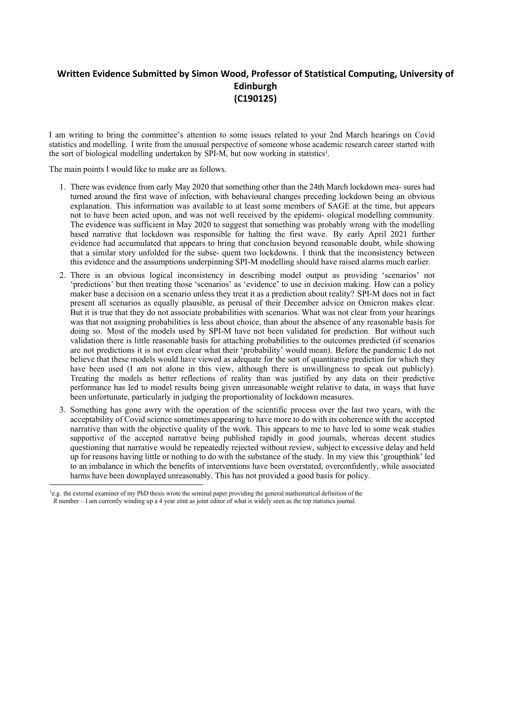## **Written Evidence Submitted by Simon Wood, Professor of Statistical Computing, University of Edinburgh (C190125)**

I am writing to bring the committee's attention to some issues related to your 2nd March hearings on Covid statistics and modelling. I write from the unusual perspective of someone whose academic research career started with the sort of biological modelling undertaken by SPI-M, but now working in statistics 1 .

The main points I would like to make are as follows.

- 1. There was evidence from early May 2020 that something other than the 24th March lockdown mea- sures had turned around the first wave of infection, with behavioural changes preceding lockdown being an obvious explanation. This information was available to at least some members of SAGE at the time, but appears not to have been acted upon, and was not well received by the epidemi- ological modelling community. The evidence was sufficient in May 2020 to suggest that something was probably wrong with the modelling based narrative that lockdown was responsible for halting the first wave. By early April 2021 further evidence had accumulated that appears to bring that conclusion beyond reasonable doubt, while showing that a similar story unfolded for the subse- quent two lockdowns. I think that the inconsistency between this evidence and the assumptions underpinning SPI-M modelling should have raised alarms much earlier.
- 2. There is an obvious logical inconsistency in describing model output as providing 'scenarios' not 'predictions' but then treating those 'scenarios' as 'evidence' to use in decision making. How can a policy maker base a decision on a scenario unless they treat it as a prediction about reality? SPI-M does not in fact present all scenarios as equally plausible, as perusal of their December advice on Omicron makes clear. But it is true that they do not associate probabilities with scenarios. What was not clear from your hearings was that not assigning probabilities is less about choice, than about the absence of any reasonable basis for doing so. Most of the models used by SPI-M have not been validated for prediction. But without such validation there is little reasonable basis for attaching probabilities to the outcomes predicted (if scenarios are not predictions it is not even clear what their 'probability' would mean). Before the pandemic I do not believe that these models would have viewed as adequate for the sort of quantitative prediction for which they have been used (I am not alone in this view, although there is unwillingness to speak out publicly). Treating the models as better reflections of reality than was justified by any data on their predictive performance has led to model results being given unreasonable weight relative to data, in ways that have been unfortunate, particularly in judging the proportionality of lockdown measures.
- 3. Something has gone awry with the operation of the scientific process over the last two years, with the acceptability of Covid science sometimes appearing to have more to do with its coherence with the accepted narrative than with the objective quality of the work. This appears to me to have led to some weak studies supportive of the accepted narrative being published rapidly in good journals, whereas decent studies questioning that narrative would be repeatedly rejected without review, subject to excessive delay and held up for reasons having little or nothing to do with the substance of the study. In my view this 'groupthink' led to an imbalance in which the benefits of interventions have been overstated, overconfidently, while associated harms have been downplayed unreasonably. This has not provided a good basis for policy.

<sup>1</sup>e.g. the external examiner of my PhD thesis wrote the seminal paper providing the general mathematical definition of the *R* number – I am currently winding up a 4 year stint as joint editor of what is widely seen as the top statistics journal.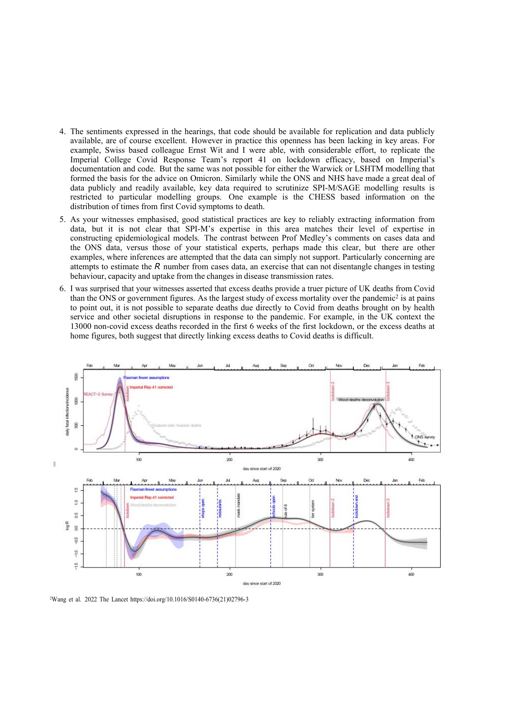- 4. The sentiments expressed in the hearings, that code should be available for replication and data publicly available, are of course excellent. However in practice this openness has been lacking in key areas. For example, Swiss based colleague Ernst Wit and I were able, with considerable effort, to replicate the Imperial College Covid Response Team's report 41 on lockdown efficacy, based on Imperial's documentation and code. But the same was not possible for either the Warwick or LSHTM modelling that formed the basis for the advice on Omicron. Similarly while the ONS and NHS have made a great deal of data publicly and readily available, key data required to scrutinize SPI-M/SAGE modelling results is restricted to particular modelling groups. One example is the CHESS based information on the distribution of times from first Covid symptoms to death.
- 5. As your witnesses emphasised, good statistical practices are key to reliably extracting information from data, but it is not clear that SPI-M's expertise in this area matches their level of expertise in constructing epidemiological models. The contrast between Prof Medley's comments on cases data and the ONS data, versus those of your statistical experts, perhaps made this clear, but there are other examples, where inferences are attempted that the data can simply not support. Particularly concerning are attempts to estimate the *R* number from cases data, an exercise that can not disentangle changes in testing behaviour, capacity and uptake from the changes in disease transmission rates.
- 6. I was surprised that your witnesses asserted that excess deaths provide a truer picture of UK deaths from Covid than the ONS or government figures. As the largest study of excess mortality over the pandemic<sup>2</sup> is at pains to point out, it is not possible to separate deaths due directly to Covid from deaths brought on by health service and other societal disruptions in response to the pandemic. For example, in the UK context the 13000 non-covid excess deaths recorded in the first 6 weeks of the first lockdown, or the excess deaths at home figures, both suggest that directly linking excess deaths to Covid deaths is difficult.



<sup>2</sup>Wang et al. 2022 The Lancet https://doi.org/10.1016/S0140-6736(21)02796-3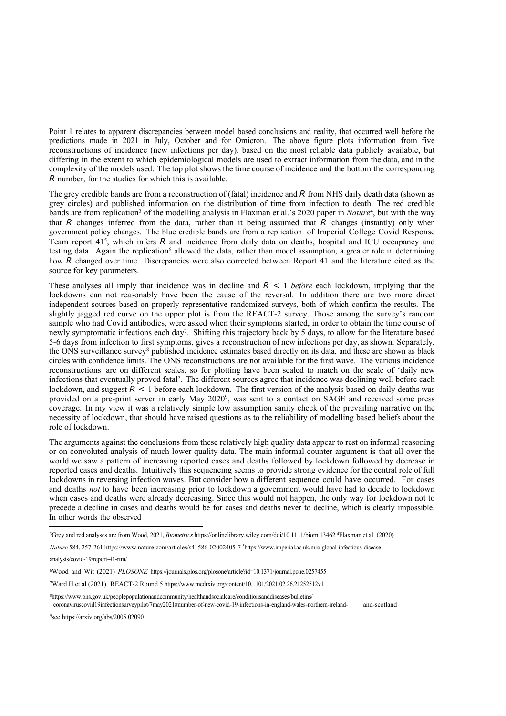Point 1 relates to apparent discrepancies between model based conclusions and reality, that occurred well before the predictions made in 2021 in July, October and for Omicron. The above figure plots information from five reconstructions of incidence (new infections per day), based on the most reliable data publicly available, but differing in the extent to which epidemiological models are used to extract information from the data, and in the complexity of the models used. The top plot shows the time course of incidence and the bottom the corresponding *R* number, for the studies for which this is available.

The grey credible bands are from a reconstruction of (fatal) incidence and *R* from NHS daily death data (shown as grey circles) and published information on the distribution of time from infection to death. The red credible bands are from replication<sup>3</sup> of the modelling analysis in Flaxman et al.'s 2020 paper in *Nature*<sup>4</sup>, but with the way that *R* changes inferred from the data, rather than it being assumed that *R* changes (instantly) only when government policy changes. The blue credible bands are from a replication of Imperial College Covid Response Team report 41<sup>5</sup> , which infers *R* and incidence from daily data on deaths, hospital and ICU occupancy and testing data. Again the replication<sup>6</sup> allowed the data, rather than model assumption, a greater role in determining how *R* changed over time. Discrepancies were also corrected between Report 41 and the literature cited as the source for key parameters.

These analyses all imply that incidence was in decline and *R <* 1 *before* each lockdown, implying that the lockdowns can not reasonably have been the cause of the reversal. In addition there are two more direct independent sources based on properly representative randomized surveys, both of which confirm the results. The slightly jagged red curve on the upper plot is from the REACT-2 survey. Those among the survey's random sample who had Covid antibodies, were asked when their symptoms started, in order to obtain the time course of newly symptomatic infections each day<sup>7</sup>. Shifting this trajectory back by 5 days, to allow for the literature based 5-6 days from infection to first symptoms, gives a reconstruction of new infections per day, as shown. Separately, the ONS surveillance survey<sup>8</sup> published incidence estimates based directly on its data, and these are shown as black circles with confidence limits. The ONS reconstructions are not available for the first wave. The various incidence reconstructions are on different scales, so for plotting have been scaled to match on the scale of 'daily new infections that eventually proved fatal'. The different sources agree that incidence was declining well before each lockdown, and suggest  $R \le 1$  before each lockdown. The first version of the analysis based on daily deaths was provided on a pre-print server in early May 2020<sup>9</sup>, was sent to a contact on SAGE and received some press coverage. In my view it was a relatively simple low assumption sanity check of the prevailing narrative on the necessity of lockdown, that should have raised questions as to the reliability of modelling based beliefs about the role of lockdown.

The arguments against the conclusions from these relatively high quality data appear to rest on informal reasoning or on convoluted analysis of much lower quality data. The main informal counter argument is that all over the world we saw a pattern of increasing reported cases and deaths followed by lockdown followed by decrease in reported cases and deaths. Intuitively this sequencing seems to provide strong evidence for the central role of full lockdowns in reversing infection waves. But consider how a different sequence could have occurred. For cases and deaths *not* to have been increasing prior to lockdown a government would have had to decide to lockdown when cases and deaths were already decreasing. Since this would not happen, the only way for lockdown not to precede a decline in cases and deaths would be for cases and deaths never to decline, which is clearly impossible. In other words the observed

<sup>8</sup>https:[//](http://www.ons.gov.uk/peoplepopulationandcommunity/healthandsocialcare/conditionsanddiseases/bulletins/)ww[w.](http://www.ons.gov.uk/peoplepopulationandcommunity/healthandsocialcare/conditionsanddiseases/bulletins/)ons[.](http://www.ons.gov.uk/peoplepopulationandcommunity/healthandsocialcare/conditionsanddiseases/bulletins/)go[v.](http://www.ons.gov.uk/peoplepopulationandcommunity/healthandsocialcare/conditionsanddiseases/bulletins/)uk[/](http://www.ons.gov.uk/peoplepopulationandcommunity/healthandsocialcare/conditionsanddiseases/bulletins/)peoplepopulationandcommunity[/h](http://www.ons.gov.uk/peoplepopulationandcommunity/healthandsocialcare/conditionsanddiseases/bulletins/)ealthandsocialcare[/](http://www.ons.gov.uk/peoplepopulationandcommunity/healthandsocialcare/conditionsanddiseases/bulletins/)conditionsanddisease[s/](http://www.ons.gov.uk/peoplepopulationandcommunity/healthandsocialcare/conditionsanddiseases/bulletins/)bulletin[s/](http://www.ons.gov.uk/peoplepopulationandcommunity/healthandsocialcare/conditionsanddiseases/bulletins/) coronaviruscovid19infectionsurveypilot/7may2021#number-of-new-covid-19-infections-in-england-wales-northern-ireland- and-scotland

9 see https://arxiv.org/abs/2005.02090

<sup>3</sup>Grey and red analyses are from Wood, 2021, *Biometrics* https://onlinelibrary.wiley.com/doi/10.1111/biom.13462 <sup>4</sup>Flaxman et al. (2020)

*Nature* 584, 257-261 h[ttps://www.nature.com/articles/s41586-02002405](http://www.nature.com/articles/s41586-02002405-7)-7 <sup>5</sup>https:[//w](http://www.imperial.ac.uk/mrc-global-infectious-disease-analysis/covid-19/report-41-rtm/)w[w.i](http://www.imperial.ac.uk/mrc-global-infectious-disease-analysis/covid-19/report-41-rtm/)mperia[l.ac.u](http://www.imperial.ac.uk/mrc-global-infectious-disease-analysis/covid-19/report-41-rtm/)k[/](http://www.imperial.ac.uk/mrc-global-infectious-disease-analysis/covid-19/report-41-rtm/)mrc[-g](http://www.imperial.ac.uk/mrc-global-infectious-disease-analysis/covid-19/report-41-rtm/)loba[l-](http://www.imperial.ac.uk/mrc-global-infectious-disease-analysis/covid-19/report-41-rtm/)infectious[-](http://www.imperial.ac.uk/mrc-global-infectious-disease-analysis/covid-19/report-41-rtm/)diseas[e-](http://www.imperial.ac.uk/mrc-global-infectious-disease-analysis/covid-19/report-41-rtm/)

analysi[s/c](http://www.imperial.ac.uk/mrc-global-infectious-disease-analysis/covid-19/report-41-rtm/)ovi[d-1](http://www.imperial.ac.uk/mrc-global-infectious-disease-analysis/covid-19/report-41-rtm/)9[/](http://www.imperial.ac.uk/mrc-global-infectious-disease-analysis/covid-19/report-41-rtm/)repor[t-](http://www.imperial.ac.uk/mrc-global-infectious-disease-analysis/covid-19/report-41-rtm/)41[-r](http://www.imperial.ac.uk/mrc-global-infectious-disease-analysis/covid-19/report-41-rtm/)tm[/](http://www.imperial.ac.uk/mrc-global-infectious-disease-analysis/covid-19/report-41-rtm/)

<sup>6</sup>Wood and Wit (2021) *PLOSONE* https://journals.plos.org/plosone/article?id=10.1371/journal.pone.0257455

<sup>7</sup>Ward H et al (2021). REACT-2 Round 5 https:[//w](http://www.medrxiv.org/content/10.1101/2021.02.26.21252512v1)w[w.m](http://www.medrxiv.org/content/10.1101/2021.02.26.21252512v1)edrxi[v.o](http://www.medrxiv.org/content/10.1101/2021.02.26.21252512v1)r[g/](http://www.medrxiv.org/content/10.1101/2021.02.26.21252512v1)content[/](http://www.medrxiv.org/content/10.1101/2021.02.26.21252512v1)10[.](http://www.medrxiv.org/content/10.1101/2021.02.26.21252512v1)110[1/](http://www.medrxiv.org/content/10.1101/2021.02.26.21252512v1)202[1.0](http://www.medrxiv.org/content/10.1101/2021.02.26.21252512v1)2[.](http://www.medrxiv.org/content/10.1101/2021.02.26.21252512v1)26[.](http://www.medrxiv.org/content/10.1101/2021.02.26.21252512v1)2125251[2v1](http://www.medrxiv.org/content/10.1101/2021.02.26.21252512v1)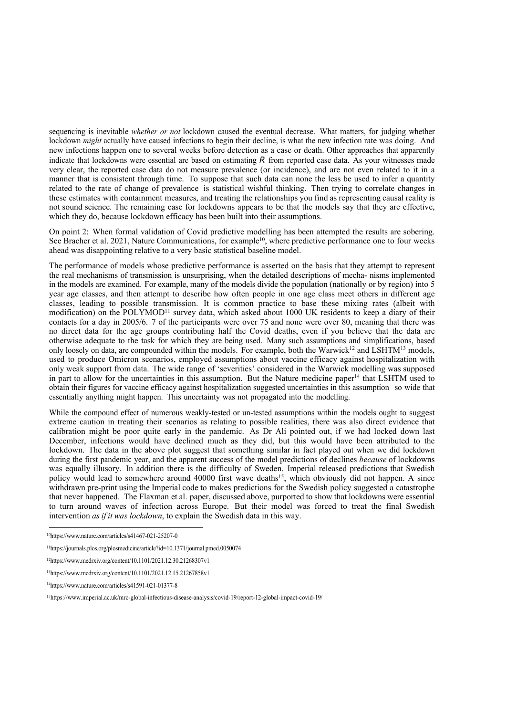sequencing is inevitable *whether or not* lockdown caused the eventual decrease. What matters, for judging whether lockdown *might* actually have caused infections to begin their decline, is what the new infection rate was doing. And new infections happen one to several weeks before detection as a case or death. Other approaches that apparently indicate that lockdowns were essential are based on estimating *R* from reported case data. As your witnesses made very clear, the reported case data do not measure prevalence (or incidence), and are not even related to it in a manner that is consistent through time. To suppose that such data can none the less be used to infer a quantity related to the rate of change of prevalence is statistical wishful thinking. Then trying to correlate changes in these estimates with containment measures, and treating the relationships you find as representing causal reality is not sound science. The remaining case for lockdowns appears to be that the models say that they are effective, which they do, because lockdown efficacy has been built into their assumptions.

On point 2: When formal validation of Covid predictive modelling has been attempted the results are sobering. See Bracher et al. 2021, Nature Communications, for example<sup>10</sup>, where predictive performance one to four weeks ahead was disappointing relative to a very basic statistical baseline model.

The performance of models whose predictive performance is asserted on the basis that they attempt to represent the real mechanisms of transmission is unsurprising, when the detailed descriptions of mecha- nisms implemented in the models are examined. For example, many of the models divide the population (nationally or by region) into 5 year age classes, and then attempt to describe how often people in one age class meet others in different age classes, leading to possible transmission. It is common practice to base these mixing rates (albeit with modification) on the POLYMOD<sup>11</sup> survey data, which asked about 1000 UK residents to keep a diary of their contacts for a day in 2005/6. 7 of the participants were over 75 and none were over 80, meaning that there was no direct data for the age groups contributing half the Covid deaths, even if you believe that the data are otherwise adequate to the task for which they are being used. Many such assumptions and simplifications, based only loosely on data, are compounded within the models. For example, both the Warwick<sup>12</sup> and LSHTM<sup>13</sup> models, used to produce Omicron scenarios, employed assumptions about vaccine efficacy against hospitalization with only weak support from data. The wide range of 'severities' considered in the Warwick modelling was supposed in part to allow for the uncertainties in this assumption. But the Nature medicine paper<sup>14</sup> that LSHTM used to obtain their figures for vaccine efficacy against hospitalization suggested uncertainties in this assumption so wide that essentially anything might happen. This uncertainty was not propagated into the modelling.

While the compound effect of numerous weakly-tested or un-tested assumptions within the models ought to suggest extreme caution in treating their scenarios as relating to possible realities, there was also direct evidence that calibration might be poor quite early in the pandemic. As Dr Ali pointed out, if we had locked down last December, infections would have declined much as they did, but this would have been attributed to the lockdown. The data in the above plot suggest that something similar in fact played out when we did lockdown during the first pandemic year, and the apparent success of the model predictions of declines *because* of lockdowns was equally illusory. In addition there is the difficulty of Sweden. Imperial released predictions that Swedish policy would lead to somewhere around 40000 first wave deaths<sup>15</sup>, which obviously did not happen. A since withdrawn pre-print using the Imperial code to makes predictions for the Swedish policy suggested a catastrophe that never happened. The Flaxman et al. paper, discussed above, purported to show that lockdowns were essential to turn around waves of infection across Europe. But their model was forced to treat the final Swedish intervention *as if it was lockdown*, to explain the Swedish data in this way.

<sup>10</sup>https:/[/](http://www.nature.com/articles/s41467-021-25207-0)www[.](http://www.nature.com/articles/s41467-021-25207-0)nature[.](http://www.nature.com/articles/s41467-021-25207-0)com[/](http://www.nature.com/articles/s41467-021-25207-0)articles[/s](http://www.nature.com/articles/s41467-021-25207-0)41467[-0](http://www.nature.com/articles/s41467-021-25207-0)2[1-2](http://www.nature.com/articles/s41467-021-25207-0)520[7-0](http://www.nature.com/articles/s41467-021-25207-0)

<sup>11</sup>https://journals.plos.org/plosmedicine/article?id=10.1371/journal.pmed.0050074

<sup>12</sup>https:/[/](http://www.medrxiv.org/content/10.1101/2021.12.30.21268307v1)www[.](http://www.medrxiv.org/content/10.1101/2021.12.30.21268307v1)medrxiv[.](http://www.medrxiv.org/content/10.1101/2021.12.30.21268307v1)org[/c](http://www.medrxiv.org/content/10.1101/2021.12.30.21268307v1)onten[t/](http://www.medrxiv.org/content/10.1101/2021.12.30.21268307v1)1[0.1](http://www.medrxiv.org/content/10.1101/2021.12.30.21268307v1)101[/](http://www.medrxiv.org/content/10.1101/2021.12.30.21268307v1)2021[.](http://www.medrxiv.org/content/10.1101/2021.12.30.21268307v1)1[2.](http://www.medrxiv.org/content/10.1101/2021.12.30.21268307v1)3[0.2](http://www.medrxiv.org/content/10.1101/2021.12.30.21268307v1)1268307[v1](http://www.medrxiv.org/content/10.1101/2021.12.30.21268307v1)

<sup>13</sup>https:/[/](http://www.medrxiv.org/content/10.1101/2021.12.15.21267858v1)www[.](http://www.medrxiv.org/content/10.1101/2021.12.15.21267858v1)medrxiv[.](http://www.medrxiv.org/content/10.1101/2021.12.15.21267858v1)org[/c](http://www.medrxiv.org/content/10.1101/2021.12.15.21267858v1)onten[t/](http://www.medrxiv.org/content/10.1101/2021.12.15.21267858v1)1[0.1](http://www.medrxiv.org/content/10.1101/2021.12.15.21267858v1)101[/](http://www.medrxiv.org/content/10.1101/2021.12.15.21267858v1)2021[.](http://www.medrxiv.org/content/10.1101/2021.12.15.21267858v1)1[2.](http://www.medrxiv.org/content/10.1101/2021.12.15.21267858v1)1[5.2](http://www.medrxiv.org/content/10.1101/2021.12.15.21267858v1)1267858[v1](http://www.medrxiv.org/content/10.1101/2021.12.15.21267858v1)

<sup>14</sup>https:/[/](http://www.nature.com/articles/s41591-021-01377-8)www[.](http://www.nature.com/articles/s41591-021-01377-8)nature[.](http://www.nature.com/articles/s41591-021-01377-8)com[/](http://www.nature.com/articles/s41591-021-01377-8)articles[/s](http://www.nature.com/articles/s41591-021-01377-8)41591[-0](http://www.nature.com/articles/s41591-021-01377-8)2[1-0](http://www.nature.com/articles/s41591-021-01377-8)137[7-8](http://www.nature.com/articles/s41591-021-01377-8)

<sup>15</sup>https:/[/www.imperial.ac.uk/mrc-global-infectious-disease-analysis/covid-19/report-12-global-imp](http://www.imperial.ac.uk/mrc-global-infectious-disease-analysis/covid-19/report-12-global-impact-covid-19/)act-covid-19[/](http://www.imperial.ac.uk/mrc-global-infectious-disease-analysis/covid-19/report-12-global-impact-covid-19/)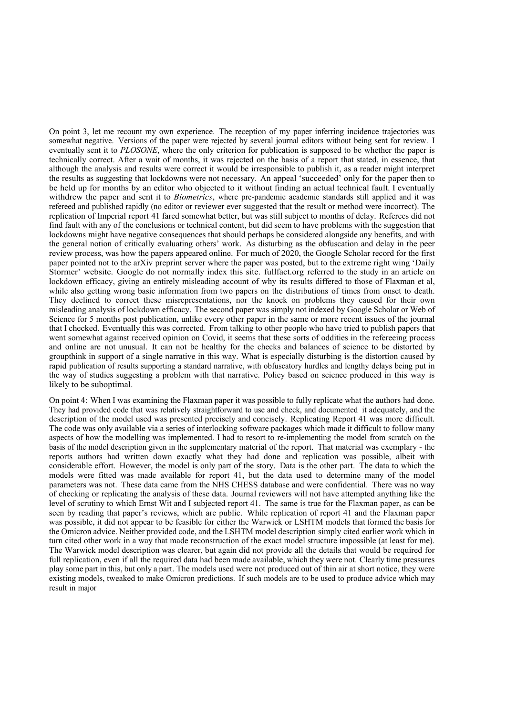On point 3, let me recount my own experience. The reception of my paper inferring incidence trajectories was somewhat negative. Versions of the paper were rejected by several journal editors without being sent for review. I eventually sent it to *PLOSONE*, where the only criterion for publication is supposed to be whether the paper is technically correct. After a wait of months, it was rejected on the basis of a report that stated, in essence, that although the analysis and results were correct it would be irresponsible to publish it, as a reader might interpret the results as suggesting that lockdowns were not necessary. An appeal 'succeeded' only for the paper then to be held up for months by an editor who objected to it without finding an actual technical fault. I eventually withdrew the paper and sent it to *Biometrics*, where pre-pandemic academic standards still applied and it was refereed and published rapidly (no editor or reviewer ever suggested that the result or method were incorrect). The replication of Imperial report 41 fared somewhat better, but was still subject to months of delay. Referees did not find fault with any of the conclusions or technical content, but did seem to have problems with the suggestion that lockdowns might have negative consequences that should perhaps be considered alongside any benefits, and with the general notion of critically evaluating others' work. As disturbing as the obfuscation and delay in the peer review process, was how the papers appeared online. For much of 2020, the Google Scholar record for the first paper pointed not to the arXiv preprint server where the paper was posted, but to the extreme right wing 'Daily Stormer' website. Google do not normally index this site. fullfact.org referred to the study in an article on lockdown efficacy, giving an entirely misleading account of why its results differed to those of Flaxman et al, while also getting wrong basic information from two papers on the distributions of times from onset to death. They declined to correct these misrepresentations, nor the knock on problems they caused for their own misleading analysis of lockdown efficacy. The second paper was simply not indexed by Google Scholar or Web of Science for 5 months post publication, unlike every other paper in the same or more recent issues of the journal that I checked. Eventually this was corrected. From talking to other people who have tried to publish papers that went somewhat against received opinion on Covid, it seems that these sorts of oddities in the refereeing process and online are not unusual. It can not be healthy for the checks and balances of science to be distorted by groupthink in support of a single narrative in this way. What is especially disturbing is the distortion caused by rapid publication of results supporting a standard narrative, with obfuscatory hurdles and lengthy delays being put in the way of studies suggesting a problem with that narrative. Policy based on science produced in this way is likely to be suboptimal.

On point 4: When I was examining the Flaxman paper it was possible to fully replicate what the authors had done. They had provided code that was relatively straightforward to use and check, and documented it adequately, and the description of the model used was presented precisely and concisely. Replicating Report 41 was more difficult. The code was only available via a series of interlocking software packages which made it difficult to follow many aspects of how the modelling was implemented. I had to resort to re-implementing the model from scratch on the basis of the model description given in the supplementary material of the report. That material was exemplary - the reports authors had written down exactly what they had done and replication was possible, albeit with considerable effort. However, the model is only part of the story. Data is the other part. The data to which the models were fitted was made available for report 41, but the data used to determine many of the model parameters was not. These data came from the NHS CHESS database and were confidential. There was no way of checking or replicating the analysis of these data. Journal reviewers will not have attempted anything like the level of scrutiny to which Ernst Wit and I subjected report 41. The same is true for the Flaxman paper, as can be seen by reading that paper's reviews, which are public. While replication of report 41 and the Flaxman paper was possible, it did not appear to be feasible for either the Warwick or LSHTM models that formed the basis for the Omicron advice. Neither provided code, and the LSHTM model description simply cited earlier work which in turn cited other work in a way that made reconstruction of the exact model structure impossible (at least for me). The Warwick model description was clearer, but again did not provide all the details that would be required for full replication, even if all the required data had been made available, which they were not. Clearly time pressures play some part in this, but only a part. The models used were not produced out of thin air at short notice, they were existing models, tweaked to make Omicron predictions. If such models are to be used to produce advice which may result in major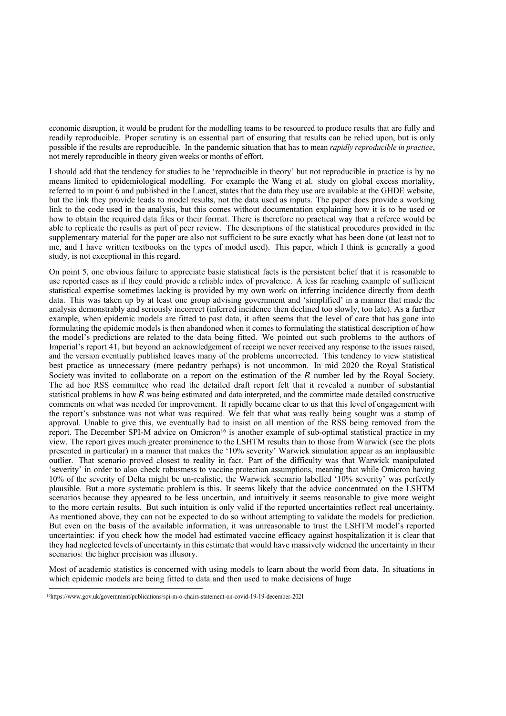economic disruption, it would be prudent for the modelling teams to be resourced to produce results that are fully and readily reproducible. Proper scrutiny is an essential part of ensuring that results can be relied upon, but is only possible if the results are reproducible. In the pandemic situation that has to mean *rapidly reproducible in practice*, not merely reproducible in theory given weeks or months of effort.

I should add that the tendency for studies to be 'reproducible in theory' but not reproducible in practice is by no means limited to epidemiological modelling. For example the Wang et al. study on global excess mortality, referred to in point 6 and published in the Lancet, states that the data they use are available at the GHDE website, but the link they provide leads to model results, not the data used as inputs. The paper does provide a working link to the code used in the analysis, but this comes without documentation explaining how it is to be used or how to obtain the required data files or their format. There is therefore no practical way that a referee would be able to replicate the results as part of peer review. The descriptions of the statistical procedures provided in the supplementary material for the paper are also not sufficient to be sure exactly what has been done (at least not to me, and I have written textbooks on the types of model used). This paper, which I think is generally a good study, is not exceptional in this regard.

On point 5, one obvious failure to appreciate basic statistical facts is the persistent belief that it is reasonable to use reported cases as if they could provide a reliable index of prevalence. A less far reaching example of sufficient statistical expertise sometimes lacking is provided by my own work on inferring incidence directly from death data. This was taken up by at least one group advising government and 'simplified' in a manner that made the analysis demonstrably and seriously incorrect (inferred incidence then declined too slowly, too late). As a further example, when epidemic models are fitted to past data, it often seems that the level of care that has gone into formulating the epidemic models is then abandoned when it comes to formulating the statistical description of how the model's predictions are related to the data being fitted. We pointed out such problems to the authors of Imperial's report 41, but beyond an acknowledgement of receipt we never received any response to the issues raised, and the version eventually published leaves many of the problems uncorrected. This tendency to view statistical best practice as unnecessary (mere pedantry perhaps) is not uncommon. In mid 2020 the Royal Statistical Society was invited to collaborate on a report on the estimation of the *R* number led by the Royal Society. The ad hoc RSS committee who read the detailed draft report felt that it revealed a number of substantial statistical problems in how *R* was being estimated and data interpreted, and the committee made detailed constructive comments on what was needed for improvement. It rapidly became clear to us that this level of engagement with the report's substance was not what was required. We felt that what was really being sought was a stamp of approval. Unable to give this, we eventually had to insist on all mention of the RSS being removed from the report. The December SPI-M advice on Omicron<sup>16</sup> is another example of sub-optimal statistical practice in my view. The report gives much greater prominence to the LSHTM results than to those from Warwick (see the plots presented in particular) in a manner that makes the '10% severity' Warwick simulation appear as an implausible outlier. That scenario proved closest to reality in fact. Part of the difficulty was that Warwick manipulated 'severity' in order to also check robustness to vaccine protection assumptions, meaning that while Omicron having 10% of the severity of Delta might be un-realistic, the Warwick scenario labelled '10% severity' was perfectly plausible. But a more systematic problem is this. It seems likely that the advice concentrated on the LSHTM scenarios because they appeared to be less uncertain, and intuitively it seems reasonable to give more weight to the more certain results. But such intuition is only valid if the reported uncertainties reflect real uncertainty. As mentioned above, they can not be expected to do so without attempting to validate the models for prediction. But even on the basis of the available information, it was unreasonable to trust the LSHTM model's reported uncertainties: if you check how the model had estimated vaccine efficacy against hospitalization it is clear that they had neglected levels of uncertainty in this estimate that would have massively widened the uncertainty in their scenarios: the higher precision was illusory.

Most of academic statistics is concerned with using models to learn about the world from data. In situations in which epidemic models are being fitted to data and then used to make decisions of huge

<sup>16</sup>https:/[/www.gov.uk/g](http://www.gov.uk/government/publications/spi-m-o-chairs-statement-on-covid-19-19-december-2021)ov[ernment/publications/spi-m-o-chairs-statement-on-covid-19-19-dec](http://www.gov.uk/government/publications/spi-m-o-chairs-statement-on-covid-19-19-december-2021)ember-2021